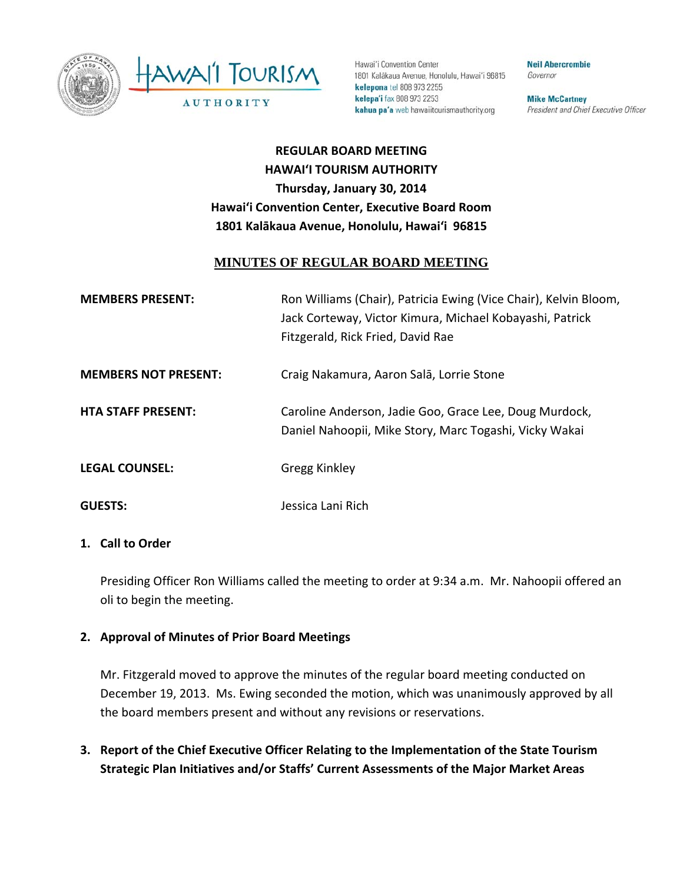



Hawai'i Convention Center 1801 Kalâkaua Avenue, Honolulu, Hawai'i 96815 kelepona tel 808 973 2255 kelepa'i fax 808 973 2253 kahua pa'a web hawaiitourismauthority.org

**Neil Abercrombie** Governor

**Mike McCartney** President and Chief Executive Officer

# **REGULAR BOARD MEETING HAWAI'I TOURISM AUTHORITY Thursday, January 30, 2014 Hawai'i Convention Center, Executive Board Room 1801 Kalākaua Avenue, Honolulu, Hawai'i 96815**

## **MINUTES OF REGULAR BOARD MEETING**

| <b>MEMBERS PRESENT:</b>     | Ron Williams (Chair), Patricia Ewing (Vice Chair), Kelvin Bloom,<br>Jack Corteway, Victor Kimura, Michael Kobayashi, Patrick<br>Fitzgerald, Rick Fried, David Rae |
|-----------------------------|-------------------------------------------------------------------------------------------------------------------------------------------------------------------|
| <b>MEMBERS NOT PRESENT:</b> | Craig Nakamura, Aaron Salā, Lorrie Stone                                                                                                                          |
| <b>HTA STAFF PRESENT:</b>   | Caroline Anderson, Jadie Goo, Grace Lee, Doug Murdock,<br>Daniel Nahoopii, Mike Story, Marc Togashi, Vicky Wakai                                                  |
| <b>LEGAL COUNSEL:</b>       | <b>Gregg Kinkley</b>                                                                                                                                              |
| <b>GUESTS:</b>              | Jessica Lani Rich                                                                                                                                                 |

#### **1. Call to Order**

Presiding Officer Ron Williams called the meeting to order at 9:34 a.m. Mr. Nahoopii offered an oli to begin the meeting.

## **2. Approval of Minutes of Prior Board Meetings**

Mr. Fitzgerald moved to approve the minutes of the regular board meeting conducted on December 19, 2013. Ms. Ewing seconded the motion, which was unanimously approved by all the board members present and without any revisions or reservations.

**3. Report of the Chief Executive Officer Relating to the Implementation of the State Tourism Strategic Plan Initiatives and/or Staffs' Current Assessments of the Major Market Areas**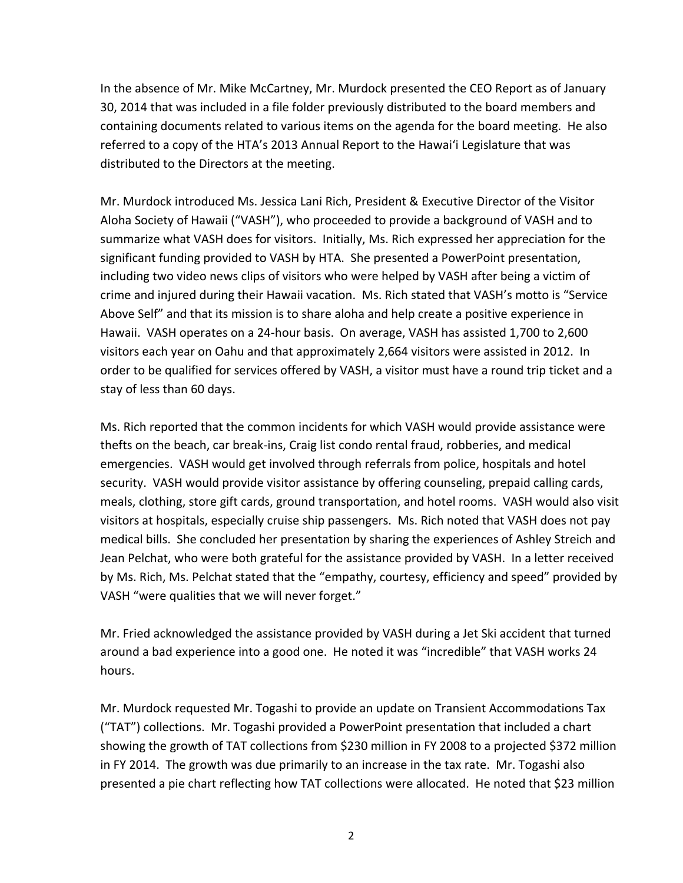In the absence of Mr. Mike McCartney, Mr. Murdock presented the CEO Report as of January 30, 2014 that was included in a file folder previously distributed to the board members and containing documents related to various items on the agenda for the board meeting. He also referred to a copy of the HTA's 2013 Annual Report to the Hawai'i Legislature that was distributed to the Directors at the meeting.

Mr. Murdock introduced Ms. Jessica Lani Rich, President & Executive Director of the Visitor Aloha Society of Hawaii ("VASH"), who proceeded to provide a background of VASH and to summarize what VASH does for visitors. Initially, Ms. Rich expressed her appreciation for the significant funding provided to VASH by HTA. She presented a PowerPoint presentation, including two video news clips of visitors who were helped by VASH after being a victim of crime and injured during their Hawaii vacation. Ms. Rich stated that VASH's motto is "Service Above Self" and that its mission is to share aloha and help create a positive experience in Hawaii. VASH operates on a 24‐hour basis. On average, VASH has assisted 1,700 to 2,600 visitors each year on Oahu and that approximately 2,664 visitors were assisted in 2012. In order to be qualified for services offered by VASH, a visitor must have a round trip ticket and a stay of less than 60 days.

Ms. Rich reported that the common incidents for which VASH would provide assistance were thefts on the beach, car break‐ins, Craig list condo rental fraud, robberies, and medical emergencies. VASH would get involved through referrals from police, hospitals and hotel security. VASH would provide visitor assistance by offering counseling, prepaid calling cards, meals, clothing, store gift cards, ground transportation, and hotel rooms. VASH would also visit visitors at hospitals, especially cruise ship passengers. Ms. Rich noted that VASH does not pay medical bills. She concluded her presentation by sharing the experiences of Ashley Streich and Jean Pelchat, who were both grateful for the assistance provided by VASH. In a letter received by Ms. Rich, Ms. Pelchat stated that the "empathy, courtesy, efficiency and speed" provided by VASH "were qualities that we will never forget."

Mr. Fried acknowledged the assistance provided by VASH during a Jet Ski accident that turned around a bad experience into a good one. He noted it was "incredible" that VASH works 24 hours.

Mr. Murdock requested Mr. Togashi to provide an update on Transient Accommodations Tax ("TAT") collections. Mr. Togashi provided a PowerPoint presentation that included a chart showing the growth of TAT collections from \$230 million in FY 2008 to a projected \$372 million in FY 2014. The growth was due primarily to an increase in the tax rate. Mr. Togashi also presented a pie chart reflecting how TAT collections were allocated. He noted that \$23 million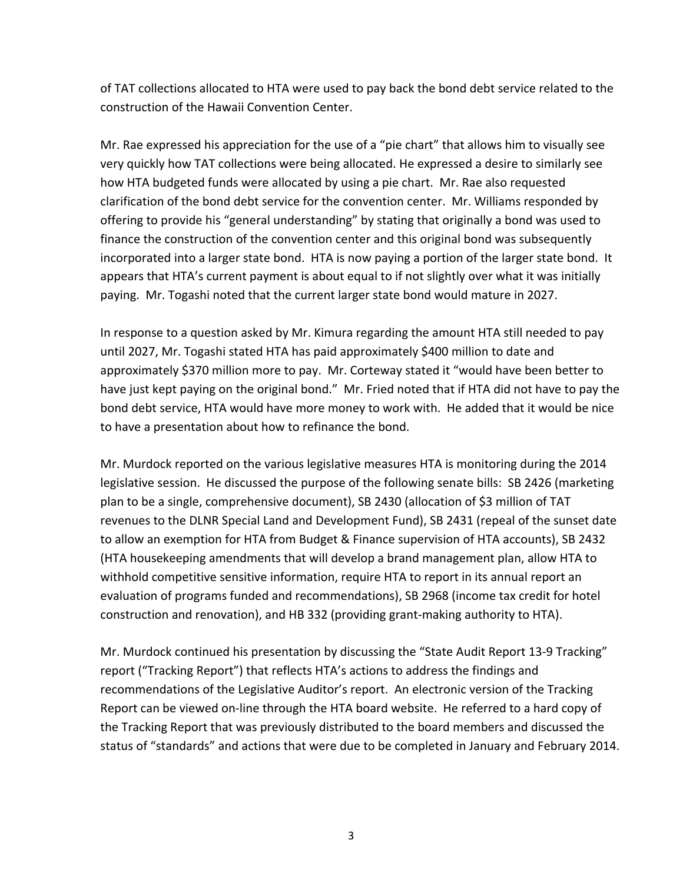of TAT collections allocated to HTA were used to pay back the bond debt service related to the construction of the Hawaii Convention Center.

Mr. Rae expressed his appreciation for the use of a "pie chart" that allows him to visually see very quickly how TAT collections were being allocated. He expressed a desire to similarly see how HTA budgeted funds were allocated by using a pie chart. Mr. Rae also requested clarification of the bond debt service for the convention center. Mr. Williams responded by offering to provide his "general understanding" by stating that originally a bond was used to finance the construction of the convention center and this original bond was subsequently incorporated into a larger state bond. HTA is now paying a portion of the larger state bond. It appears that HTA's current payment is about equal to if not slightly over what it was initially paying. Mr. Togashi noted that the current larger state bond would mature in 2027.

In response to a question asked by Mr. Kimura regarding the amount HTA still needed to pay until 2027, Mr. Togashi stated HTA has paid approximately \$400 million to date and approximately \$370 million more to pay. Mr. Corteway stated it "would have been better to have just kept paying on the original bond." Mr. Fried noted that if HTA did not have to pay the bond debt service, HTA would have more money to work with. He added that it would be nice to have a presentation about how to refinance the bond.

Mr. Murdock reported on the various legislative measures HTA is monitoring during the 2014 legislative session. He discussed the purpose of the following senate bills: SB 2426 (marketing plan to be a single, comprehensive document), SB 2430 (allocation of \$3 million of TAT revenues to the DLNR Special Land and Development Fund), SB 2431 (repeal of the sunset date to allow an exemption for HTA from Budget & Finance supervision of HTA accounts), SB 2432 (HTA housekeeping amendments that will develop a brand management plan, allow HTA to withhold competitive sensitive information, require HTA to report in its annual report an evaluation of programs funded and recommendations), SB 2968 (income tax credit for hotel construction and renovation), and HB 332 (providing grant‐making authority to HTA).

Mr. Murdock continued his presentation by discussing the "State Audit Report 13‐9 Tracking" report ("Tracking Report") that reflects HTA's actions to address the findings and recommendations of the Legislative Auditor's report. An electronic version of the Tracking Report can be viewed on‐line through the HTA board website. He referred to a hard copy of the Tracking Report that was previously distributed to the board members and discussed the status of "standards" and actions that were due to be completed in January and February 2014.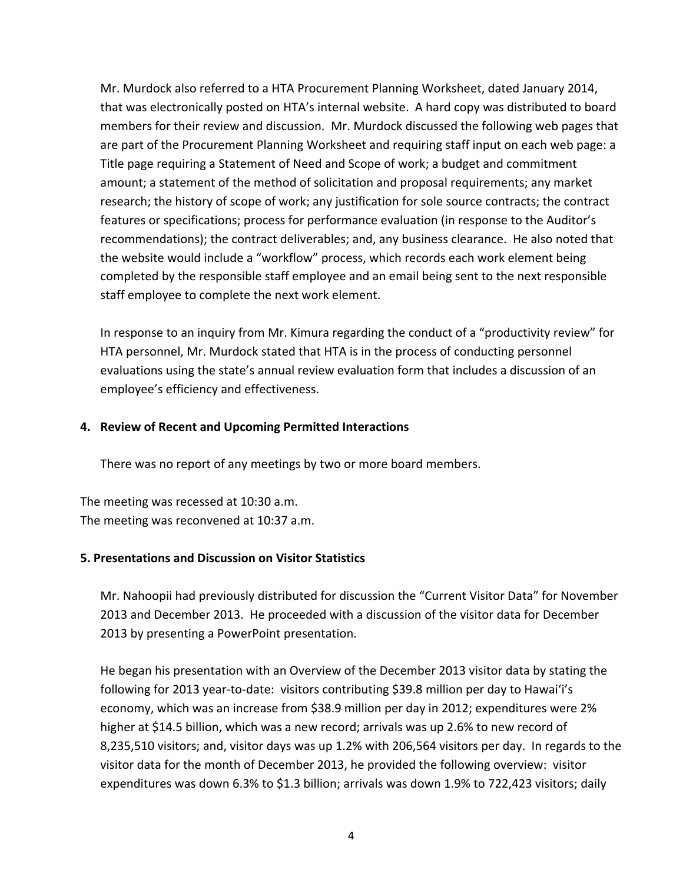Mr. Murdock also referred to a HTA Procurement Planning Worksheet, dated January 2014, that was electronically posted on HTA's internal website. A hard copy was distributed to board members for their review and discussion. Mr. Murdock discussed the following web pages that are part of the Procurement Planning Worksheet and requiring staff input on each web page: a Title page requiring a Statement of Need and Scope of work; a budget and commitment amount; a statement of the method of solicitation and proposal requirements; any market research; the history of scope of work; any justification for sole source contracts; the contract features or specifications; process for performance evaluation (in response to the Auditor's recommendations); the contract deliverables; and, any business clearance. He also noted that the website would include a "workflow" process, which records each work element being completed by the responsible staff employee and an email being sent to the next responsible staff employee to complete the next work element.

In response to an inquiry from Mr. Kimura regarding the conduct of a "productivity review" for HTA personnel, Mr. Murdock stated that HTA is in the process of conducting personnel evaluations using the state's annual review evaluation form that includes a discussion of an employee's efficiency and effectiveness.

#### **4. Review of Recent and Upcoming Permitted Interactions**

There was no report of any meetings by two or more board members.

The meeting was recessed at 10:30 a.m. The meeting was reconvened at 10:37 a.m.

## **5. Presentations and Discussion on Visitor Statistics**

Mr. Nahoopii had previously distributed for discussion the "Current Visitor Data" for November 2013 and December 2013. He proceeded with a discussion of the visitor data for December 2013 by presenting a PowerPoint presentation.

He began his presentation with an Overview of the December 2013 visitor data by stating the following for 2013 year-to-date: visitors contributing \$39.8 million per day to Hawai'i's economy, which was an increase from \$38.9 million per day in 2012; expenditures were 2% higher at \$14.5 billion, which was a new record; arrivals was up 2.6% to new record of 8,235,510 visitors; and, visitor days was up 1.2% with 206,564 visitors per day. In regards to the visitor data for the month of December 2013, he provided the following overview: visitor expenditures was down 6.3% to \$1.3 billion; arrivals was down 1.9% to 722,423 visitors; daily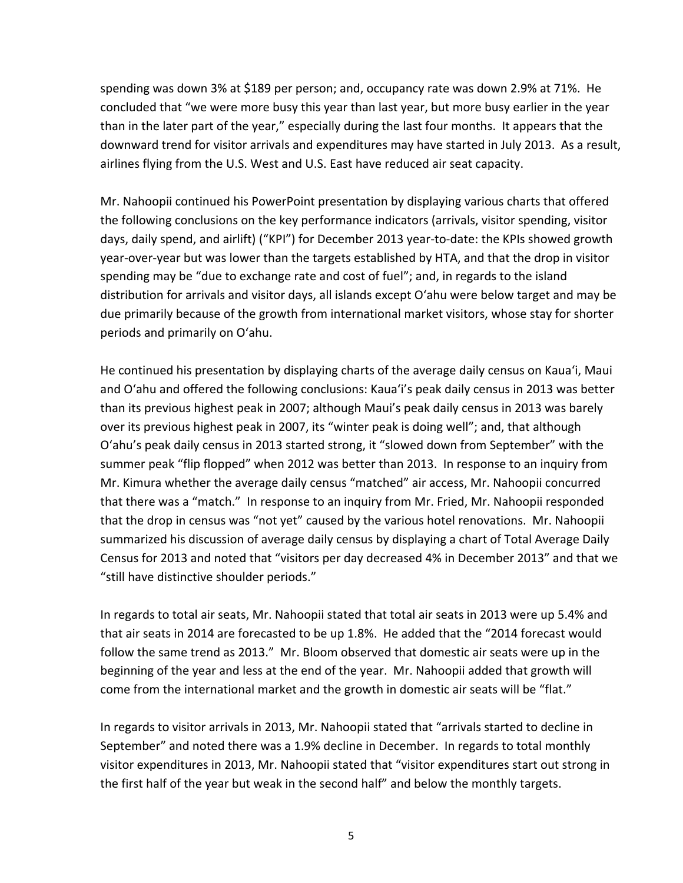spending was down 3% at \$189 per person; and, occupancy rate was down 2.9% at 71%. He concluded that "we were more busy this year than last year, but more busy earlier in the year than in the later part of the year," especially during the last four months. It appears that the downward trend for visitor arrivals and expenditures may have started in July 2013. As a result, airlines flying from the U.S. West and U.S. East have reduced air seat capacity.

Mr. Nahoopii continued his PowerPoint presentation by displaying various charts that offered the following conclusions on the key performance indicators (arrivals, visitor spending, visitor days, daily spend, and airlift) ("KPI") for December 2013 year‐to‐date: the KPIs showed growth year‐over‐year but was lower than the targets established by HTA, and that the drop in visitor spending may be "due to exchange rate and cost of fuel"; and, in regards to the island distribution for arrivals and visitor days, all islands except O'ahu were below target and may be due primarily because of the growth from international market visitors, whose stay for shorter periods and primarily on O'ahu.

He continued his presentation by displaying charts of the average daily census on Kaua'i, Maui and O'ahu and offered the following conclusions: Kaua'i's peak daily census in 2013 was better than its previous highest peak in 2007; although Maui's peak daily census in 2013 was barely over its previous highest peak in 2007, its "winter peak is doing well"; and, that although O'ahu's peak daily census in 2013 started strong, it "slowed down from September" with the summer peak "flip flopped" when 2012 was better than 2013. In response to an inquiry from Mr. Kimura whether the average daily census "matched" air access, Mr. Nahoopii concurred that there was a "match." In response to an inquiry from Mr. Fried, Mr. Nahoopii responded that the drop in census was "not yet" caused by the various hotel renovations. Mr. Nahoopii summarized his discussion of average daily census by displaying a chart of Total Average Daily Census for 2013 and noted that "visitors per day decreased 4% in December 2013" and that we "still have distinctive shoulder periods."

In regards to total air seats, Mr. Nahoopii stated that total air seats in 2013 were up 5.4% and that air seats in 2014 are forecasted to be up 1.8%. He added that the "2014 forecast would follow the same trend as 2013." Mr. Bloom observed that domestic air seats were up in the beginning of the year and less at the end of the year. Mr. Nahoopii added that growth will come from the international market and the growth in domestic air seats will be "flat."

In regards to visitor arrivals in 2013, Mr. Nahoopii stated that "arrivals started to decline in September" and noted there was a 1.9% decline in December. In regards to total monthly visitor expenditures in 2013, Mr. Nahoopii stated that "visitor expenditures start out strong in the first half of the year but weak in the second half" and below the monthly targets.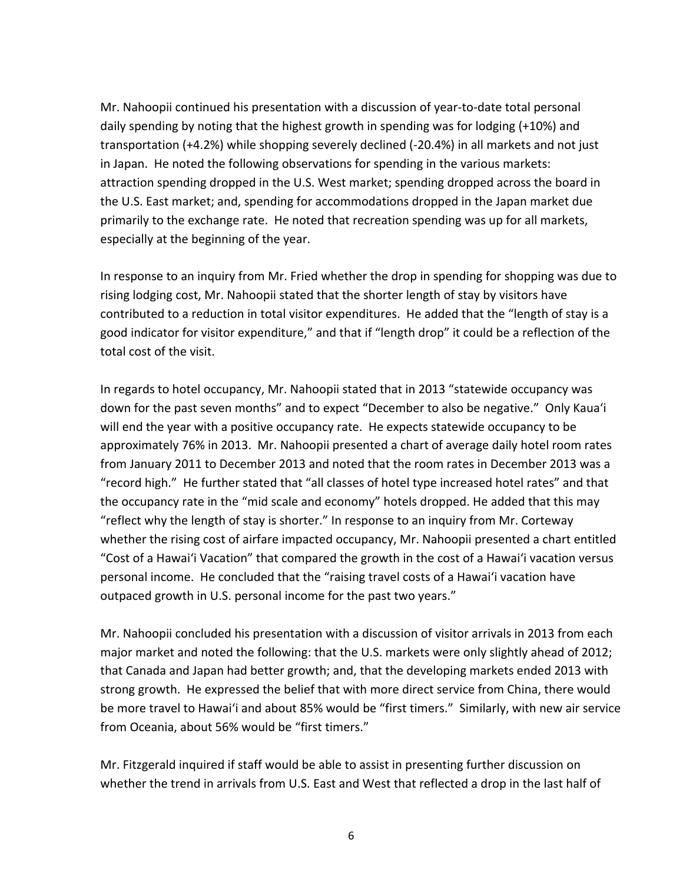Mr. Nahoopii continued his presentation with a discussion of year-to-date total personal daily spending by noting that the highest growth in spending was for lodging (+10%) and transportation (+4.2%) while shopping severely declined (‐20.4%) in all markets and not just in Japan. He noted the following observations for spending in the various markets: attraction spending dropped in the U.S. West market; spending dropped across the board in the U.S. East market; and, spending for accommodations dropped in the Japan market due primarily to the exchange rate. He noted that recreation spending was up for all markets, especially at the beginning of the year.

In response to an inquiry from Mr. Fried whether the drop in spending for shopping was due to rising lodging cost, Mr. Nahoopii stated that the shorter length of stay by visitors have contributed to a reduction in total visitor expenditures. He added that the "length of stay is a good indicator for visitor expenditure," and that if "length drop" it could be a reflection of the total cost of the visit.

In regards to hotel occupancy, Mr. Nahoopii stated that in 2013 "statewide occupancy was down for the past seven months" and to expect "December to also be negative." Only Kaua'i will end the year with a positive occupancy rate. He expects statewide occupancy to be approximately 76% in 2013. Mr. Nahoopii presented a chart of average daily hotel room rates from January 2011 to December 2013 and noted that the room rates in December 2013 was a "record high." He further stated that "all classes of hotel type increased hotel rates" and that the occupancy rate in the "mid scale and economy" hotels dropped. He added that this may "reflect why the length of stay is shorter." In response to an inquiry from Mr. Corteway whether the rising cost of airfare impacted occupancy, Mr. Nahoopii presented a chart entitled "Cost of a Hawai'i Vacation" that compared the growth in the cost of a Hawai'i vacation versus personal income. He concluded that the "raising travel costs of a Hawai'i vacation have outpaced growth in U.S. personal income for the past two years."

Mr. Nahoopii concluded his presentation with a discussion of visitor arrivals in 2013 from each major market and noted the following: that the U.S. markets were only slightly ahead of 2012; that Canada and Japan had better growth; and, that the developing markets ended 2013 with strong growth. He expressed the belief that with more direct service from China, there would be more travel to Hawai'i and about 85% would be "first timers." Similarly, with new air service from Oceania, about 56% would be "first timers."

Mr. Fitzgerald inquired if staff would be able to assist in presenting further discussion on whether the trend in arrivals from U.S. East and West that reflected a drop in the last half of